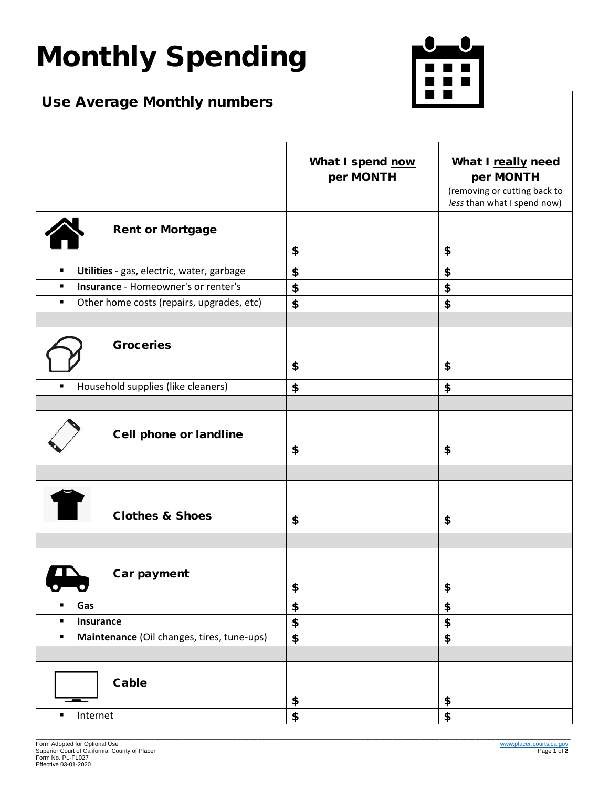## Monthly Spending



## Use Average Monthly numbers

|                                                              | What I spend now<br>per MONTH | What I really need<br>per MONTH<br>(removing or cutting back to<br>less than what I spend now) |
|--------------------------------------------------------------|-------------------------------|------------------------------------------------------------------------------------------------|
| <b>Rent or Mortgage</b>                                      | \$                            | \$                                                                                             |
| Utilities - gas, electric, water, garbage<br>$\blacksquare$  | \$                            | \$                                                                                             |
| <b>Insurance - Homeowner's or renter's</b><br>$\blacksquare$ | \$                            | \$                                                                                             |
| Other home costs (repairs, upgrades, etc)<br>$\blacksquare$  | \$                            | \$                                                                                             |
| <b>Groceries</b>                                             | \$                            | \$                                                                                             |
| Household supplies (like cleaners)<br>п                      | \$                            | \$                                                                                             |
|                                                              |                               |                                                                                                |
| <b>Cell phone or landline</b>                                | \$                            | \$                                                                                             |
|                                                              |                               |                                                                                                |
| <b>Clothes &amp; Shoes</b>                                   | \$                            | \$                                                                                             |
| Car payment                                                  | \$                            | \$                                                                                             |
| Gas<br>$\blacksquare$                                        | \$                            | \$                                                                                             |
| Insurance<br>٠                                               | \$                            | \$                                                                                             |
| Maintenance (Oil changes, tires, tune-ups)<br>$\blacksquare$ | \$                            | \$                                                                                             |
|                                                              |                               |                                                                                                |
| Cable                                                        | \$                            | \$                                                                                             |
| Internet<br>٠                                                | \$                            | \$                                                                                             |
|                                                              |                               |                                                                                                |